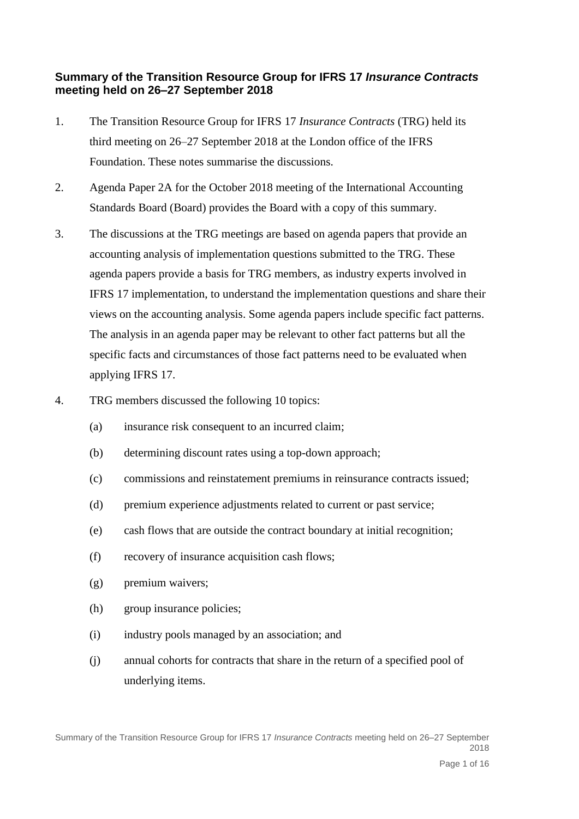## **Summary of the Transition Resource Group for IFRS 17** *Insurance Contracts* **meeting held on 26–27 September 2018**

- 1. The Transition Resource Group for IFRS 17 *Insurance Contracts* (TRG) held its third meeting on 26–27 September 2018 at the London office of the IFRS Foundation. These notes summarise the discussions.
- 2. Agenda Paper 2A for the October 2018 meeting of the International Accounting Standards Board (Board) provides the Board with a copy of this summary.
- 3. The discussions at the TRG meetings are based on agenda papers that provide an accounting analysis of implementation questions submitted to the TRG. These agenda papers provide a basis for TRG members, as industry experts involved in IFRS 17 implementation, to understand the implementation questions and share their views on the accounting analysis. Some agenda papers include specific fact patterns. The analysis in an agenda paper may be relevant to other fact patterns but all the specific facts and circumstances of those fact patterns need to be evaluated when applying IFRS 17.
- 4. TRG members discussed the following 10 topics:
	- (a) insurance risk consequent to an incurred claim;
	- (b) determining discount rates using a top-down approach;
	- (c) commissions and reinstatement premiums in reinsurance contracts issued;
	- (d) premium experience adjustments related to current or past service;
	- (e) cash flows that are outside the contract boundary at initial recognition;
	- (f) recovery of insurance acquisition cash flows;
	- (g) premium waivers;
	- (h) group insurance policies;
	- (i) industry pools managed by an association; and
	- (j) annual cohorts for contracts that share in the return of a specified pool of underlying items.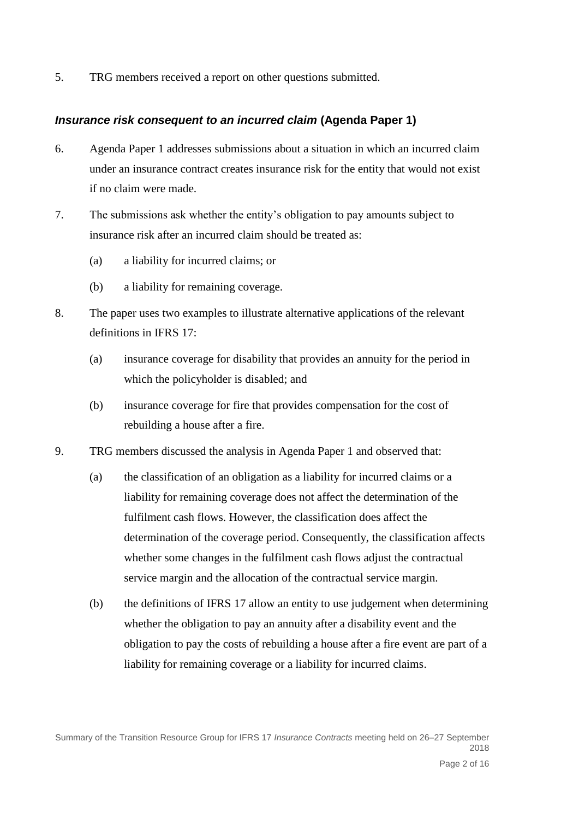5. TRG members received a report on other questions submitted.

### *Insurance risk consequent to an incurred claim* **(Agenda Paper 1)**

- 6. Agenda Paper 1 addresses submissions about a situation in which an incurred claim under an insurance contract creates insurance risk for the entity that would not exist if no claim were made.
- 7. The submissions ask whether the entity's obligation to pay amounts subject to insurance risk after an incurred claim should be treated as:
	- (a) a liability for incurred claims; or
	- (b) a liability for remaining coverage.
- 8. The paper uses two examples to illustrate alternative applications of the relevant definitions in IFRS 17:
	- (a) insurance coverage for disability that provides an annuity for the period in which the policyholder is disabled; and
	- (b) insurance coverage for fire that provides compensation for the cost of rebuilding a house after a fire.
- 9. TRG members discussed the analysis in Agenda Paper 1 and observed that:
	- (a) the classification of an obligation as a liability for incurred claims or a liability for remaining coverage does not affect the determination of the fulfilment cash flows. However, the classification does affect the determination of the coverage period. Consequently, the classification affects whether some changes in the fulfilment cash flows adjust the contractual service margin and the allocation of the contractual service margin.
	- (b) the definitions of IFRS 17 allow an entity to use judgement when determining whether the obligation to pay an annuity after a disability event and the obligation to pay the costs of rebuilding a house after a fire event are part of a liability for remaining coverage or a liability for incurred claims.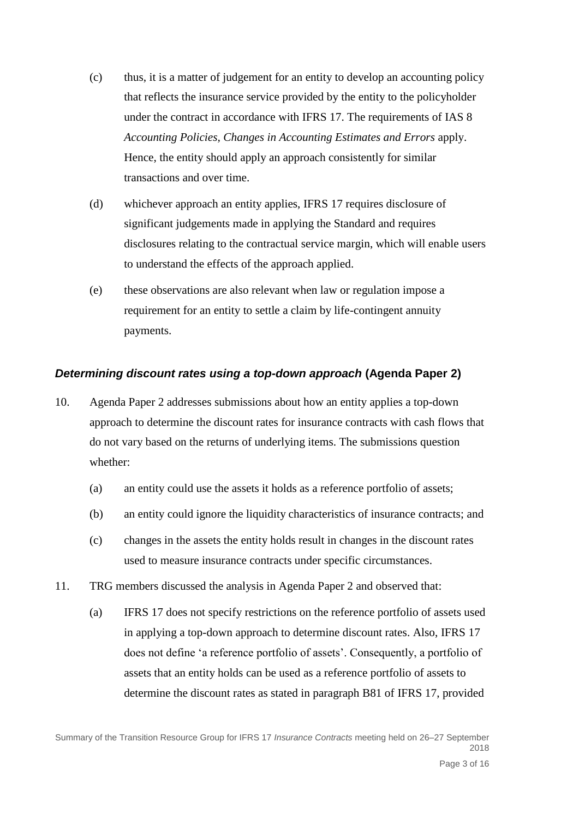- (c) thus, it is a matter of judgement for an entity to develop an accounting policy that reflects the insurance service provided by the entity to the policyholder under the contract in accordance with IFRS 17. The requirements of IAS 8 *Accounting Policies, Changes in Accounting Estimates and Errors* apply. Hence, the entity should apply an approach consistently for similar transactions and over time.
- (d) whichever approach an entity applies, IFRS 17 requires disclosure of significant judgements made in applying the Standard and requires disclosures relating to the contractual service margin, which will enable users to understand the effects of the approach applied.
- (e) these observations are also relevant when law or regulation impose a requirement for an entity to settle a claim by life-contingent annuity payments.

### *Determining discount rates using a top-down approach* **(Agenda Paper 2)**

- 10. Agenda Paper 2 addresses submissions about how an entity applies a top-down approach to determine the discount rates for insurance contracts with cash flows that do not vary based on the returns of underlying items. The submissions question whether:
	- (a) an entity could use the assets it holds as a reference portfolio of assets;
	- (b) an entity could ignore the liquidity characteristics of insurance contracts; and
	- (c) changes in the assets the entity holds result in changes in the discount rates used to measure insurance contracts under specific circumstances.
- 11. TRG members discussed the analysis in Agenda Paper 2 and observed that:
	- (a) IFRS 17 does not specify restrictions on the reference portfolio of assets used in applying a top-down approach to determine discount rates. Also, IFRS 17 does not define 'a reference portfolio of assets'. Consequently, a portfolio of assets that an entity holds can be used as a reference portfolio of assets to determine the discount rates as stated in paragraph B81 of IFRS 17, provided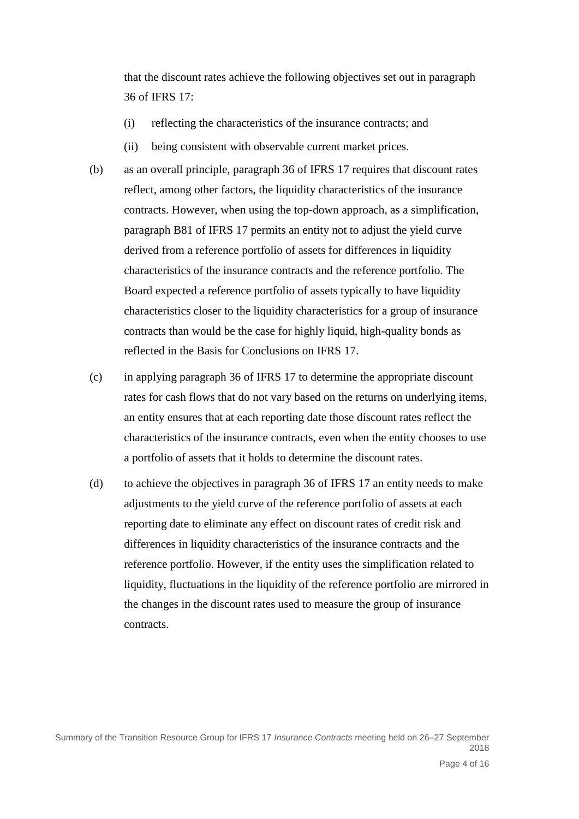that the discount rates achieve the following objectives set out in paragraph 36 of IFRS 17:

- (i) reflecting the characteristics of the insurance contracts; and
- (ii) being consistent with observable current market prices.
- (b) as an overall principle, paragraph 36 of IFRS 17 requires that discount rates reflect, among other factors, the liquidity characteristics of the insurance contracts. However, when using the top-down approach, as a simplification, paragraph B81 of IFRS 17 permits an entity not to adjust the yield curve derived from a reference portfolio of assets for differences in liquidity characteristics of the insurance contracts and the reference portfolio. The Board expected a reference portfolio of assets typically to have liquidity characteristics closer to the liquidity characteristics for a group of insurance contracts than would be the case for highly liquid, high-quality bonds as reflected in the Basis for Conclusions on IFRS 17.
- (c) in applying paragraph 36 of IFRS 17 to determine the appropriate discount rates for cash flows that do not vary based on the returns on underlying items, an entity ensures that at each reporting date those discount rates reflect the characteristics of the insurance contracts, even when the entity chooses to use a portfolio of assets that it holds to determine the discount rates.
- (d) to achieve the objectives in paragraph 36 of IFRS 17 an entity needs to make adjustments to the yield curve of the reference portfolio of assets at each reporting date to eliminate any effect on discount rates of credit risk and differences in liquidity characteristics of the insurance contracts and the reference portfolio. However, if the entity uses the simplification related to liquidity, fluctuations in the liquidity of the reference portfolio are mirrored in the changes in the discount rates used to measure the group of insurance contracts.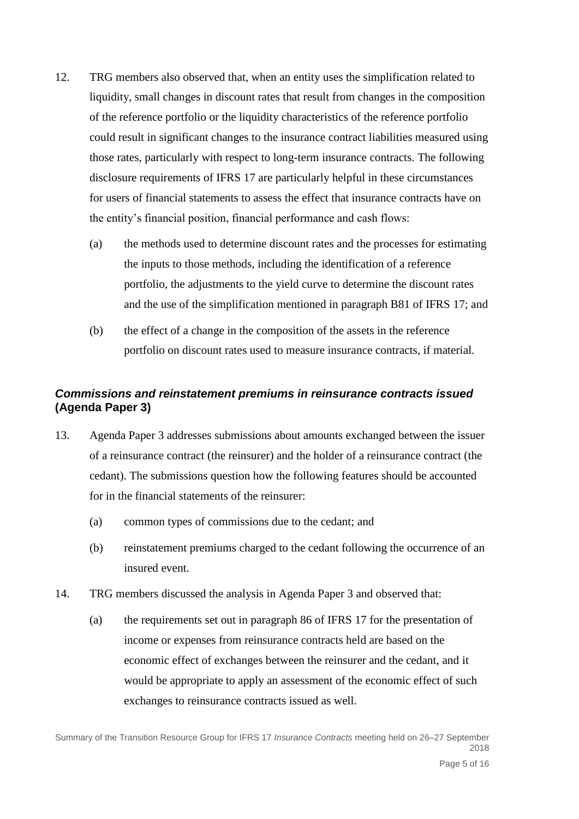- 12. TRG members also observed that, when an entity uses the simplification related to liquidity, small changes in discount rates that result from changes in the composition of the reference portfolio or the liquidity characteristics of the reference portfolio could result in significant changes to the insurance contract liabilities measured using those rates, particularly with respect to long-term insurance contracts. The following disclosure requirements of IFRS 17 are particularly helpful in these circumstances for users of financial statements to assess the effect that insurance contracts have on the entity's financial position, financial performance and cash flows:
	- (a) the methods used to determine discount rates and the processes for estimating the inputs to those methods, including the identification of a reference portfolio, the adjustments to the yield curve to determine the discount rates and the use of the simplification mentioned in paragraph B81 of IFRS 17; and
	- (b) the effect of a change in the composition of the assets in the reference portfolio on discount rates used to measure insurance contracts, if material.

# *Commissions and reinstatement premiums in reinsurance contracts issued*  **(Agenda Paper 3)**

- 13. Agenda Paper 3 addresses submissions about amounts exchanged between the issuer of a reinsurance contract (the reinsurer) and the holder of a reinsurance contract (the cedant). The submissions question how the following features should be accounted for in the financial statements of the reinsurer:
	- (a) common types of commissions due to the cedant; and
	- (b) reinstatement premiums charged to the cedant following the occurrence of an insured event.
- 14. TRG members discussed the analysis in Agenda Paper 3 and observed that:
	- (a) the requirements set out in paragraph 86 of IFRS 17 for the presentation of income or expenses from reinsurance contracts held are based on the economic effect of exchanges between the reinsurer and the cedant, and it would be appropriate to apply an assessment of the economic effect of such exchanges to reinsurance contracts issued as well.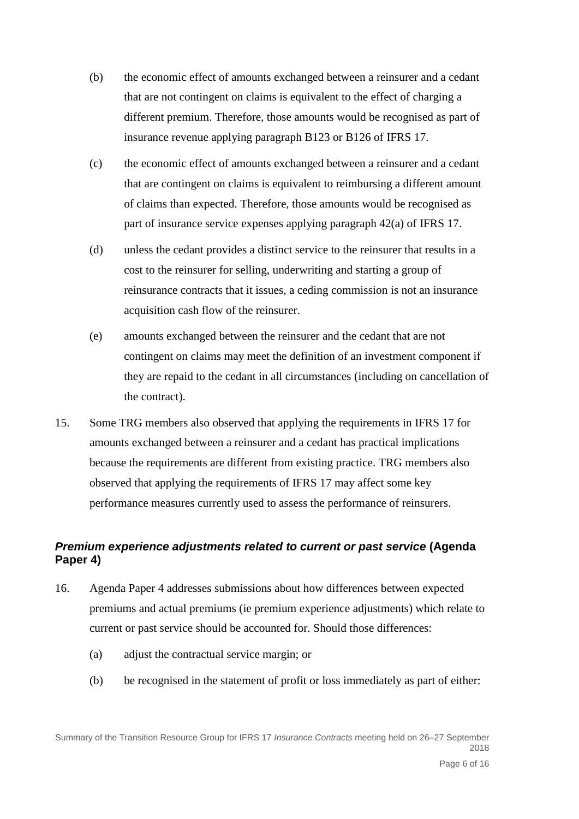- (b) the economic effect of amounts exchanged between a reinsurer and a cedant that are not contingent on claims is equivalent to the effect of charging a different premium. Therefore, those amounts would be recognised as part of insurance revenue applying paragraph B123 or B126 of IFRS 17.
- (c) the economic effect of amounts exchanged between a reinsurer and a cedant that are contingent on claims is equivalent to reimbursing a different amount of claims than expected. Therefore, those amounts would be recognised as part of insurance service expenses applying paragraph 42(a) of IFRS 17.
- (d) unless the cedant provides a distinct service to the reinsurer that results in a cost to the reinsurer for selling, underwriting and starting a group of reinsurance contracts that it issues, a ceding commission is not an insurance acquisition cash flow of the reinsurer.
- (e) amounts exchanged between the reinsurer and the cedant that are not contingent on claims may meet the definition of an investment component if they are repaid to the cedant in all circumstances (including on cancellation of the contract).
- 15. Some TRG members also observed that applying the requirements in IFRS 17 for amounts exchanged between a reinsurer and a cedant has practical implications because the requirements are different from existing practice. TRG members also observed that applying the requirements of IFRS 17 may affect some key performance measures currently used to assess the performance of reinsurers.

# *Premium experience adjustments related to current or past service* **(Agenda Paper 4)**

- 16. Agenda Paper 4 addresses submissions about how differences between expected premiums and actual premiums (ie premium experience adjustments) which relate to current or past service should be accounted for. Should those differences:
	- (a) adjust the contractual service margin; or
	- (b) be recognised in the statement of profit or loss immediately as part of either: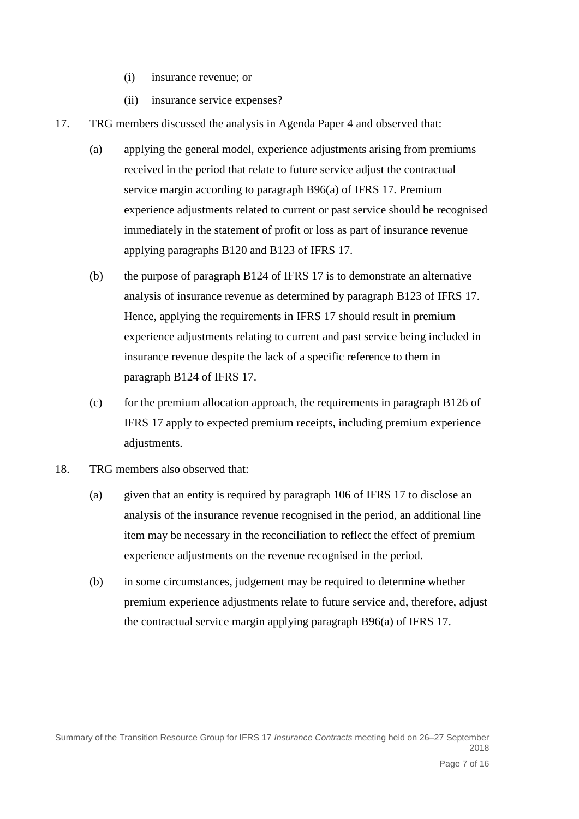- (i) insurance revenue; or
- (ii) insurance service expenses?
- 17. TRG members discussed the analysis in Agenda Paper 4 and observed that:
	- (a) applying the general model, experience adjustments arising from premiums received in the period that relate to future service adjust the contractual service margin according to paragraph B96(a) of IFRS 17. Premium experience adjustments related to current or past service should be recognised immediately in the statement of profit or loss as part of insurance revenue applying paragraphs B120 and B123 of IFRS 17.
	- (b) the purpose of paragraph B124 of IFRS 17 is to demonstrate an alternative analysis of insurance revenue as determined by paragraph B123 of IFRS 17. Hence, applying the requirements in IFRS 17 should result in premium experience adjustments relating to current and past service being included in insurance revenue despite the lack of a specific reference to them in paragraph B124 of IFRS 17.
	- $(c)$  for the premium allocation approach, the requirements in paragraph B126 of IFRS 17 apply to expected premium receipts, including premium experience adjustments.
- 18. TRG members also observed that:
	- (a) given that an entity is required by paragraph 106 of IFRS 17 to disclose an analysis of the insurance revenue recognised in the period, an additional line item may be necessary in the reconciliation to reflect the effect of premium experience adjustments on the revenue recognised in the period.
	- (b) in some circumstances, judgement may be required to determine whether premium experience adjustments relate to future service and, therefore, adjust the contractual service margin applying paragraph B96(a) of IFRS 17.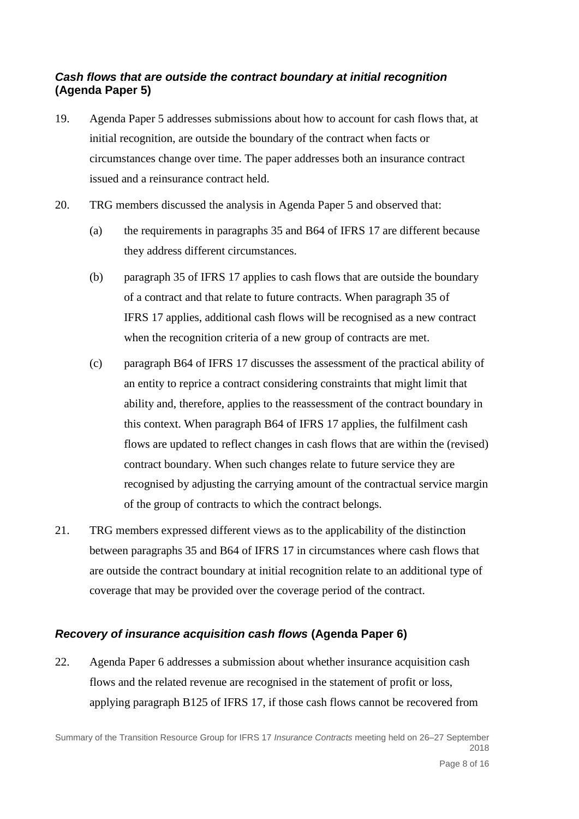# *Cash flows that are outside the contract boundary at initial recognition* **(Agenda Paper 5)**

- 19. Agenda Paper 5 addresses submissions about how to account for cash flows that, at initial recognition, are outside the boundary of the contract when facts or circumstances change over time. The paper addresses both an insurance contract issued and a reinsurance contract held.
- 20. TRG members discussed the analysis in Agenda Paper 5 and observed that:
	- (a) the requirements in paragraphs 35 and B64 of IFRS 17 are different because they address different circumstances.
	- (b) paragraph 35 of IFRS 17 applies to cash flows that are outside the boundary of a contract and that relate to future contracts. When paragraph 35 of IFRS 17 applies, additional cash flows will be recognised as a new contract when the recognition criteria of a new group of contracts are met.
	- (c) paragraph B64 of IFRS 17 discusses the assessment of the practical ability of an entity to reprice a contract considering constraints that might limit that ability and, therefore, applies to the reassessment of the contract boundary in this context. When paragraph B64 of IFRS 17 applies, the fulfilment cash flows are updated to reflect changes in cash flows that are within the (revised) contract boundary. When such changes relate to future service they are recognised by adjusting the carrying amount of the contractual service margin of the group of contracts to which the contract belongs.
- 21. TRG members expressed different views as to the applicability of the distinction between paragraphs 35 and B64 of IFRS 17 in circumstances where cash flows that are outside the contract boundary at initial recognition relate to an additional type of coverage that may be provided over the coverage period of the contract.

# *Recovery of insurance acquisition cash flows* **(Agenda Paper 6)**

22. Agenda Paper 6 addresses a submission about whether insurance acquisition cash flows and the related revenue are recognised in the statement of profit or loss, applying paragraph B125 of IFRS 17, if those cash flows cannot be recovered from

Summary of the Transition Resource Group for IFRS 17 *Insurance Contracts* meeting held on 26–27 September 2018 Page 8 of 16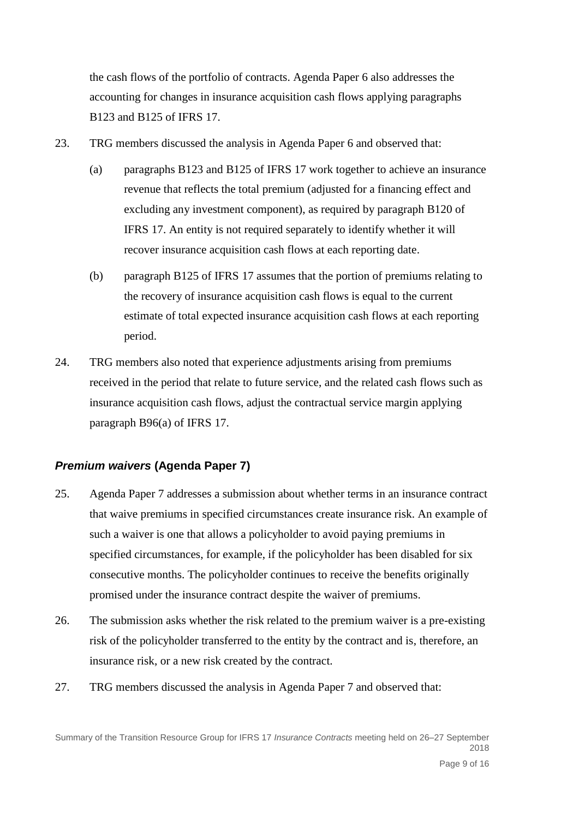the cash flows of the portfolio of contracts. Agenda Paper 6 also addresses the accounting for changes in insurance acquisition cash flows applying paragraphs B123 and B125 of IFRS 17.

- 23. TRG members discussed the analysis in Agenda Paper 6 and observed that:
	- (a) paragraphs B123 and B125 of IFRS 17 work together to achieve an insurance revenue that reflects the total premium (adjusted for a financing effect and excluding any investment component), as required by paragraph B120 of IFRS 17. An entity is not required separately to identify whether it will recover insurance acquisition cash flows at each reporting date.
	- (b) paragraph B125 of IFRS 17 assumes that the portion of premiums relating to the recovery of insurance acquisition cash flows is equal to the current estimate of total expected insurance acquisition cash flows at each reporting period.
- 24. TRG members also noted that experience adjustments arising from premiums received in the period that relate to future service, and the related cash flows such as insurance acquisition cash flows, adjust the contractual service margin applying paragraph B96(a) of IFRS 17.

#### *Premium waivers* **(Agenda Paper 7)**

- 25. Agenda Paper 7 addresses a submission about whether terms in an insurance contract that waive premiums in specified circumstances create insurance risk. An example of such a waiver is one that allows a policyholder to avoid paying premiums in specified circumstances, for example, if the policyholder has been disabled for six consecutive months. The policyholder continues to receive the benefits originally promised under the insurance contract despite the waiver of premiums.
- 26. The submission asks whether the risk related to the premium waiver is a pre-existing risk of the policyholder transferred to the entity by the contract and is, therefore, an insurance risk, or a new risk created by the contract.
- 27. TRG members discussed the analysis in Agenda Paper 7 and observed that: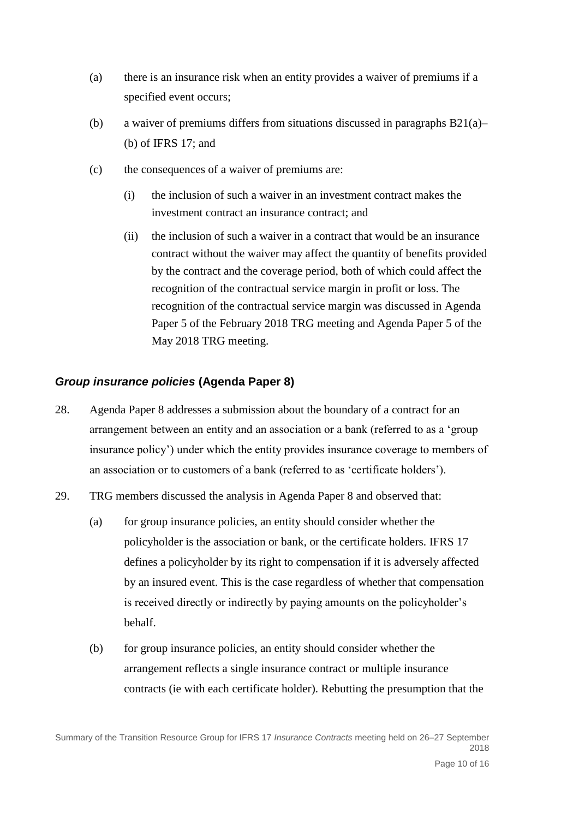- (a) there is an insurance risk when an entity provides a waiver of premiums if a specified event occurs;
- (b) a waiver of premiums differs from situations discussed in paragraphs  $B21(a)$  (b) of IFRS 17; and
- (c) the consequences of a waiver of premiums are:
	- (i) the inclusion of such a waiver in an investment contract makes the investment contract an insurance contract; and
	- (ii) the inclusion of such a waiver in a contract that would be an insurance contract without the waiver may affect the quantity of benefits provided by the contract and the coverage period, both of which could affect the recognition of the contractual service margin in profit or loss. The recognition of the contractual service margin was discussed in Agenda Paper 5 of the February 2018 TRG meeting and Agenda Paper 5 of the May 2018 TRG meeting.

### *Group insurance policies* **(Agenda Paper 8)**

- 28. Agenda Paper 8 addresses a submission about the boundary of a contract for an arrangement between an entity and an association or a bank (referred to as a 'group insurance policy') under which the entity provides insurance coverage to members of an association or to customers of a bank (referred to as 'certificate holders').
- 29. TRG members discussed the analysis in Agenda Paper 8 and observed that:
	- (a) for group insurance policies, an entity should consider whether the policyholder is the association or bank, or the certificate holders. IFRS 17 defines a policyholder by its right to compensation if it is adversely affected by an insured event. This is the case regardless of whether that compensation is received directly or indirectly by paying amounts on the policyholder's behalf.
	- (b) for group insurance policies, an entity should consider whether the arrangement reflects a single insurance contract or multiple insurance contracts (ie with each certificate holder). Rebutting the presumption that the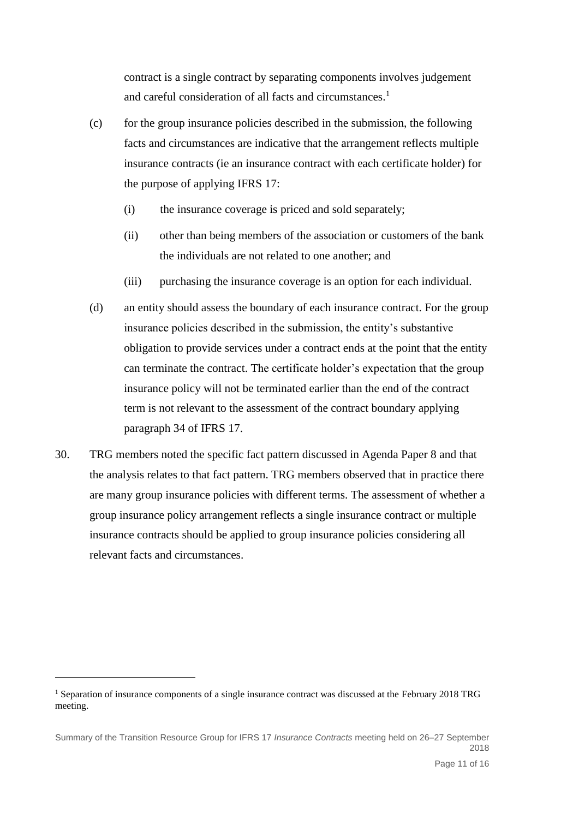contract is a single contract by separating components involves judgement and careful consideration of all facts and circumstances.<sup>1</sup>

- (c) for the group insurance policies described in the submission, the following facts and circumstances are indicative that the arrangement reflects multiple insurance contracts (ie an insurance contract with each certificate holder) for the purpose of applying IFRS 17:
	- (i) the insurance coverage is priced and sold separately;
	- (ii) other than being members of the association or customers of the bank the individuals are not related to one another; and
	- (iii) purchasing the insurance coverage is an option for each individual.
- (d) an entity should assess the boundary of each insurance contract. For the group insurance policies described in the submission, the entity's substantive obligation to provide services under a contract ends at the point that the entity can terminate the contract. The certificate holder's expectation that the group insurance policy will not be terminated earlier than the end of the contract term is not relevant to the assessment of the contract boundary applying paragraph 34 of IFRS 17.
- 30. TRG members noted the specific fact pattern discussed in Agenda Paper 8 and that the analysis relates to that fact pattern. TRG members observed that in practice there are many group insurance policies with different terms. The assessment of whether a group insurance policy arrangement reflects a single insurance contract or multiple insurance contracts should be applied to group insurance policies considering all relevant facts and circumstances.

1

<sup>1</sup> Separation of insurance components of a single insurance contract was discussed at the February 2018 TRG meeting.

Summary of the Transition Resource Group for IFRS 17 *Insurance Contracts* meeting held on 26–27 September 2018 Page 11 of 16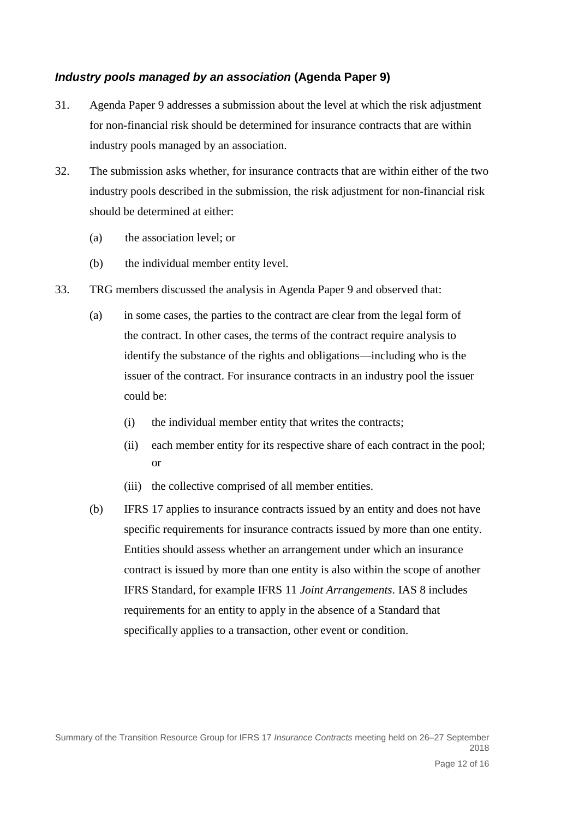### *Industry pools managed by an association* **(Agenda Paper 9)**

- 31. Agenda Paper 9 addresses a submission about the level at which the risk adjustment for non-financial risk should be determined for insurance contracts that are within industry pools managed by an association.
- 32. The submission asks whether, for insurance contracts that are within either of the two industry pools described in the submission, the risk adjustment for non-financial risk should be determined at either:
	- (a) the association level; or
	- (b) the individual member entity level.
- 33. TRG members discussed the analysis in Agenda Paper 9 and observed that:
	- (a) in some cases, the parties to the contract are clear from the legal form of the contract. In other cases, the terms of the contract require analysis to identify the substance of the rights and obligations—including who is the issuer of the contract. For insurance contracts in an industry pool the issuer could be:
		- (i) the individual member entity that writes the contracts;
		- (ii) each member entity for its respective share of each contract in the pool; or
		- (iii) the collective comprised of all member entities.
	- (b) IFRS 17 applies to insurance contracts issued by an entity and does not have specific requirements for insurance contracts issued by more than one entity. Entities should assess whether an arrangement under which an insurance contract is issued by more than one entity is also within the scope of another IFRS Standard, for example IFRS 11 *Joint Arrangements*. IAS 8 includes requirements for an entity to apply in the absence of a Standard that specifically applies to a transaction, other event or condition.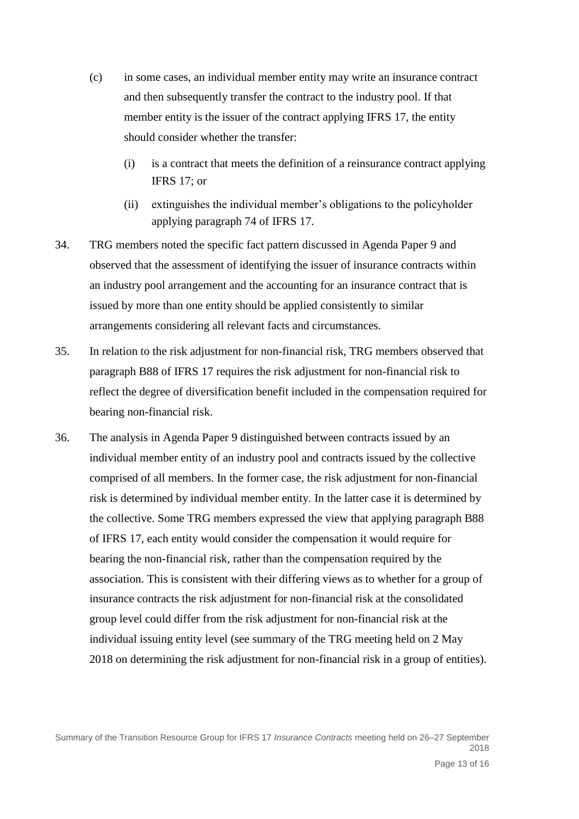- (c) in some cases, an individual member entity may write an insurance contract and then subsequently transfer the contract to the industry pool. If that member entity is the issuer of the contract applying IFRS 17, the entity should consider whether the transfer:
	- (i) is a contract that meets the definition of a reinsurance contract applying IFRS 17; or
	- (ii) extinguishes the individual member's obligations to the policyholder applying paragraph 74 of IFRS 17.
- 34. TRG members noted the specific fact pattern discussed in Agenda Paper 9 and observed that the assessment of identifying the issuer of insurance contracts within an industry pool arrangement and the accounting for an insurance contract that is issued by more than one entity should be applied consistently to similar arrangements considering all relevant facts and circumstances.
- 35. In relation to the risk adjustment for non-financial risk, TRG members observed that paragraph B88 of IFRS 17 requires the risk adjustment for non-financial risk to reflect the degree of diversification benefit included in the compensation required for bearing non-financial risk.
- 36. The analysis in Agenda Paper 9 distinguished between contracts issued by an individual member entity of an industry pool and contracts issued by the collective comprised of all members. In the former case, the risk adjustment for non-financial risk is determined by individual member entity. In the latter case it is determined by the collective. Some TRG members expressed the view that applying paragraph B88 of IFRS 17, each entity would consider the compensation it would require for bearing the non-financial risk, rather than the compensation required by the association. This is consistent with their differing views as to whether for a group of insurance contracts the risk adjustment for non-financial risk at the consolidated group level could differ from the risk adjustment for non-financial risk at the individual issuing entity level (see summary of the TRG meeting held on 2 May 2018 on determining the risk adjustment for non-financial risk in a group of entities).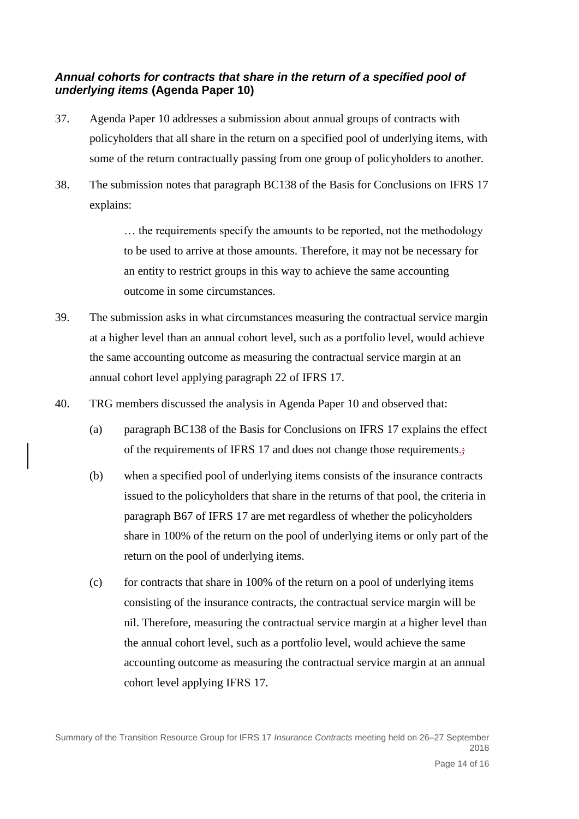## *Annual cohorts for contracts that share in the return of a specified pool of underlying items* **(Agenda Paper 10)**

- 37. Agenda Paper 10 addresses a submission about annual groups of contracts with policyholders that all share in the return on a specified pool of underlying items, with some of the return contractually passing from one group of policyholders to another.
- 38. The submission notes that paragraph BC138 of the Basis for Conclusions on IFRS 17 explains:

… the requirements specify the amounts to be reported, not the methodology to be used to arrive at those amounts. Therefore, it may not be necessary for an entity to restrict groups in this way to achieve the same accounting outcome in some circumstances.

- 39. The submission asks in what circumstances measuring the contractual service margin at a higher level than an annual cohort level, such as a portfolio level, would achieve the same accounting outcome as measuring the contractual service margin at an annual cohort level applying paragraph 22 of IFRS 17.
- 40. TRG members discussed the analysis in Agenda Paper 10 and observed that:
	- (a) paragraph BC138 of the Basis for Conclusions on IFRS 17 explains the effect of the requirements of IFRS 17 and does not change those requirements.
	- (b) when a specified pool of underlying items consists of the insurance contracts issued to the policyholders that share in the returns of that pool, the criteria in paragraph B67 of IFRS 17 are met regardless of whether the policyholders share in 100% of the return on the pool of underlying items or only part of the return on the pool of underlying items.
	- (c) for contracts that share in 100% of the return on a pool of underlying items consisting of the insurance contracts, the contractual service margin will be nil. Therefore, measuring the contractual service margin at a higher level than the annual cohort level, such as a portfolio level, would achieve the same accounting outcome as measuring the contractual service margin at an annual cohort level applying IFRS 17.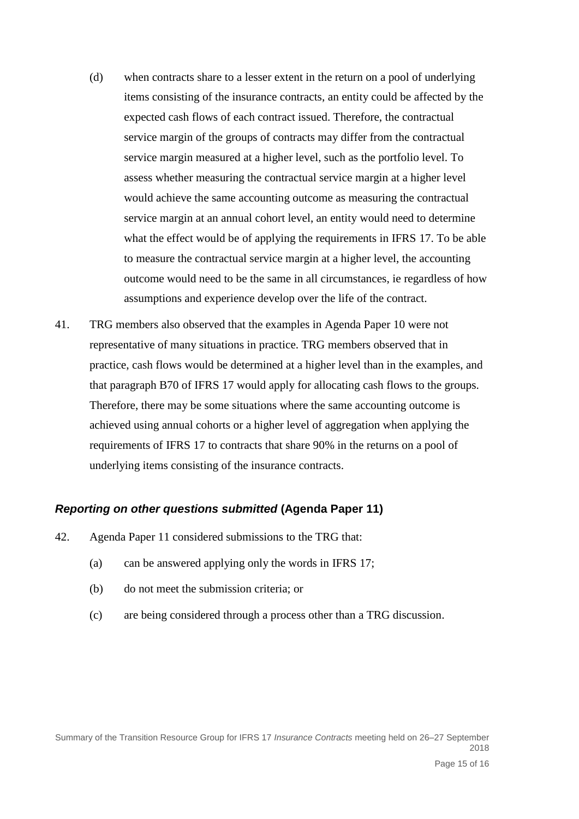- (d) when contracts share to a lesser extent in the return on a pool of underlying items consisting of the insurance contracts, an entity could be affected by the expected cash flows of each contract issued. Therefore, the contractual service margin of the groups of contracts may differ from the contractual service margin measured at a higher level, such as the portfolio level. To assess whether measuring the contractual service margin at a higher level would achieve the same accounting outcome as measuring the contractual service margin at an annual cohort level, an entity would need to determine what the effect would be of applying the requirements in IFRS 17. To be able to measure the contractual service margin at a higher level, the accounting outcome would need to be the same in all circumstances, ie regardless of how assumptions and experience develop over the life of the contract.
- 41. TRG members also observed that the examples in Agenda Paper 10 were not representative of many situations in practice. TRG members observed that in practice, cash flows would be determined at a higher level than in the examples, and that paragraph B70 of IFRS 17 would apply for allocating cash flows to the groups. Therefore, there may be some situations where the same accounting outcome is achieved using annual cohorts or a higher level of aggregation when applying the requirements of IFRS 17 to contracts that share 90% in the returns on a pool of underlying items consisting of the insurance contracts.

#### *Reporting on other questions submitted* **(Agenda Paper 11)**

- 42. Agenda Paper 11 considered submissions to the TRG that:
	- (a) can be answered applying only the words in IFRS 17;
	- (b) do not meet the submission criteria; or
	- (c) are being considered through a process other than a TRG discussion.